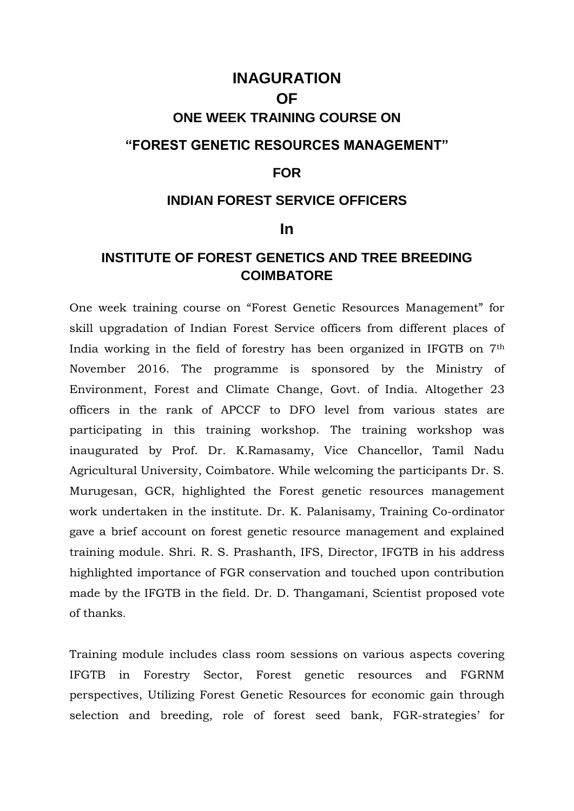# **INAGURATION OF ONE WEEK TRAINING COURSE ON "FOREST GENETIC RESOURCES MANAGEMENT"**

### **FOR**

### **INDIAN FOREST SERVICE OFFICERS**

#### **In**

## **INSTITUTE OF FOREST GENETICS AND TREE BREEDING COIMBATORE**

One week training course on "Forest Genetic Resources Management" for skill upgradation of Indian Forest Service officers from different places of India working in the field of forestry has been organized in IFGTB on 7th November 2016. The programme is sponsored by the Ministry of Environment, Forest and Climate Change, Govt. of India. Altogether 23 officers in the rank of APCCF to DFO level from various states are participating in this training workshop. The training workshop was inaugurated by Prof. Dr. K.Ramasamy, Vice Chancellor, Tamil Nadu Agricultural University, Coimbatore. While welcoming the participants Dr. S. Murugesan, GCR, highlighted the Forest genetic resources management work undertaken in the institute. Dr. K. Palanisamy, Training Co-ordinator gave a brief account on forest genetic resource management and explained training module. Shri. R. S. Prashanth, IFS, Director, IFGTB in his address highlighted importance of FGR conservation and touched upon contribution made by the IFGTB in the field. Dr. D. Thangamani, Scientist proposed vote of thanks.

Training module includes class room sessions on various aspects covering IFGTB in Forestry Sector, Forest genetic resources and FGRNM perspectives, Utilizing Forest Genetic Resources for economic gain through selection and breeding, role of forest seed bank, FGR-strategies' for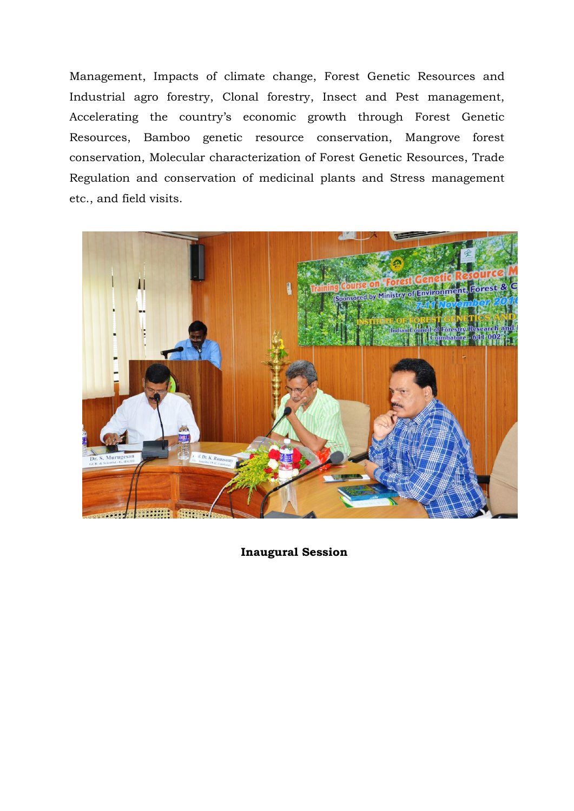Management, Impacts of climate change, Forest Genetic Resources and Industrial agro forestry, Clonal forestry, Insect and Pest management, Accelerating the country's economic growth through Forest Genetic Resources, Bamboo genetic resource conservation, Mangrove forest conservation, Molecular characterization of Forest Genetic Resources, Trade Regulation and conservation of medicinal plants and Stress management etc., and field visits.



**Inaugural Session**